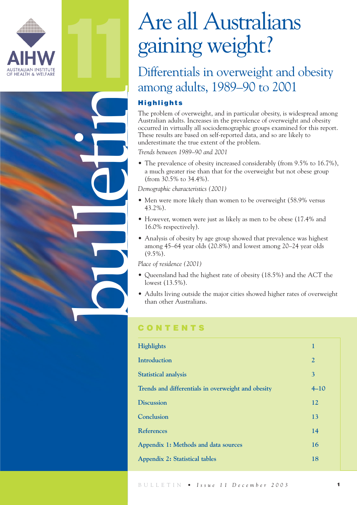

11

bulletin

# Are all Australians gaining weight?

### Differentials in overweight and obesity among adults, 1989–90 to 2001

### **Highlights**

The problem of overweight, and in particular obesity, is widespread among Australian adults. Increases in the prevalence of overweight and obesity occurred in virtually all sociodemographic groups examined for this report. These results are based on self-reported data, and so are likely to underestimate the true extent of the problem.

*Trends between 1989–90 and 2001*

• The prevalence of obesity increased considerably (from 9.5% to 16.7%), a much greater rise than that for the overweight but not obese group (from 30.5% to 34.4%).

*Demographic characteristics (2001)*

- Men were more likely than women to be overweight (58.9% versus 43.2%).
- However, women were just as likely as men to be obese (17.4% and 16.0% respectively).
- Analysis of obesity by age group showed that prevalence was highest among 45–64 year olds (20.8%) and lowest among 20–24 year olds  $(9.5\%)$ .

*Place of residence (2001)*

- Queensland had the highest rate of obesity (18.5%) and the ACT the lowest (13.5%).
- Adults living outside the major cities showed higher rates of overweight than other Australians.

### **CONTENTS**

| Highlights                                         | $\mathbf{1}$   |
|----------------------------------------------------|----------------|
| <b>Introduction</b>                                | $\overline{2}$ |
| <b>Statistical analysis</b>                        | $\overline{3}$ |
| Trends and differentials in overweight and obesity | $4 - 10$       |
| <b>Discussion</b>                                  | 12             |
| Conclusion                                         | 13             |
| <b>References</b>                                  | 14             |
| Appendix 1: Methods and data sources               | 16             |
| <b>Appendix 2: Statistical tables</b>              | 18             |
|                                                    |                |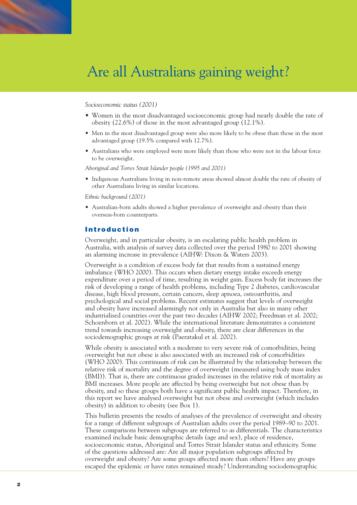### *Socioeconomic status (2001)*

- Women in the most disadvantaged socioeconomic group had nearly double the rate of obesity (22.6%) of those in the most advantaged group (12.1%).
- Men in the most disadvantaged group were also more likely to be obese than those in the most advantaged group (19.5% compared with 12.7%).
- Australians who were employed were more likely than those who were not in the labour force to be overweight.

*Aboriginal and Torres Strait Islander people (1995 and 2001)*

• Indigenous Australians living in non-remote areas showed almost double the rate of obesity of other Australians living in similar locations.

*Ethnic background (2001)*

• Australian-born adults showed a higher prevalence of overweight and obesity than their overseas-born counterparts.

### **Introduction**

Overweight, and in particular obesity, is an escalating public health problem in Australia, with analysis of survey data collected over the period 1980 to 2001 showing an alarming increase in prevalence (AIHW: Dixon & Waters 2003).

Overweight is a condition of excess body fat that results from a sustained energy imbalance (WHO 2000). This occurs when dietary energy intake exceeds energy expenditure over a period of time, resulting in weight gain. Excess body fat increases the risk of developing a range of health problems, including Type 2 diabetes, cardiovascular disease, high blood pressure, certain cancers, sleep apnoea, osteoarthritis, and psychological and social problems. Recent estimates suggest that levels of overweight and obesity have increased alarmingly not only in Australia but also in many other industrialised countries over the past two decades (AIHW 2002; Freedman et al. 2002; Schoenborn et al. 2002). While the international literature demonstrates a consistent trend towards increasing overweight and obesity, there are clear differences in the sociodemographic groups at risk (Paeratakul et al. 2002).

While obesity is associated with a moderate to very severe risk of comorbidities, being overweight but not obese is also associated with an increased risk of comorbidities (WHO 2000). This continuum of risk can be illustrated by the relationship between the relative risk of mortality and the degree of overweight (measured using body mass index (BMI)). That is, there are continuous graded increases in the relative risk of mortality as BMI increases. More people are affected by being overweight but not obese than by obesity, and so these groups both have a significant public health impact. Therefore, in this report we have analysed overweight but not obese and overweight (which includes obesity) in addition to obesity (see Box 1).

This bulletin presents the results of analyses of the prevalence of overweight and obesity for a range of different subgroups of Australian adults over the period 1989–90 to 2001. These comparisons between subgroups are referred to as differentials. The characteristics examined include basic demographic details (age and sex), place of residence, socioeconomic status, Aboriginal and Torres Strait Islander status and ethnicity. Some of the questions addressed are: Are all major population subgroups affected by overweight and obesity? Are some groups affected more than others? Have any groups escaped the epidemic or have rates remained steady? Understanding sociodemographic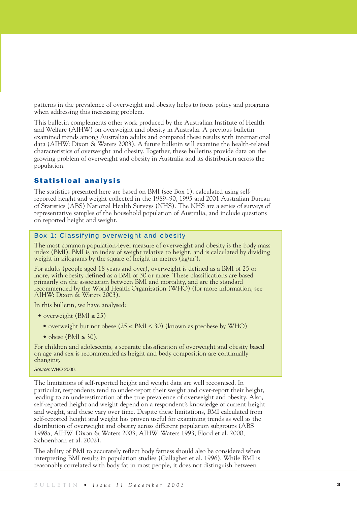patterns in the prevalence of overweight and obesity helps to focus policy and programs when addressing this increasing problem.

This bulletin complements other work produced by the Australian Institute of Health and Welfare (AIHW) on overweight and obesity in Australia. A previous bulletin examined trends among Australian adults and compared these results with international data (AIHW: Dixon & Waters 2003). A future bulletin will examine the health-related characteristics of overweight and obesity. Together, these bulletins provide data on the growing problem of overweight and obesity in Australia and its distribution across the population.

### **Statistical analysis**

The statistics presented here are based on BMI (see Box 1), calculated using selfreported height and weight collected in the 1989–90, 1995 and 2001 Australian Bureau of Statistics (ABS) National Health Surveys (NHS). The NHS are a series of surveys of representative samples of the household population of Australia, and include questions on reported height and weight.

### Box 1: Classifying overweight and obesity

The most common population-level measure of overweight and obesity is the body mass index (BMI). BMI is an index of weight relative to height, and is calculated by dividing weight in kilograms by the square of height in metres (kg/m<sup>2</sup>).

For adults (people aged 18 years and over), overweight is defined as a BMI of 25 or more, with obesity defined as a BMI of 30 or more. These classifications are based primarily on the association between BMI and mortality, and are the standard recommended by the World Health Organization (WHO) (for more information, see AIHW: Dixon & Waters 2003).

In this bulletin, we have analysed:

- overweight ( $BMI \geq 25$ )
	- overweight but not obese  $(25 \leq BMI \leq 30)$  (known as preobese by WHO)
	- obese (BMI  $\geq$  30).

For children and adolescents, a separate classification of overweight and obesity based on age and sex is recommended as height and body composition are continually changing.

*Source:* WHO 2000.

The limitations of self-reported height and weight data are well recognised. In particular, respondents tend to under-report their weight and over-report their height, leading to an underestimation of the true prevalence of overweight and obesity. Also, self-reported height and weight depend on a respondent's knowledge of current height and weight, and these vary over time. Despite these limitations, BMI calculated from self-reported height and weight has proven useful for examining trends as well as the distribution of overweight and obesity across different population subgroups (ABS 1998a; AIHW: Dixon & Waters 2003; AIHW: Waters 1993; Flood et al. 2000; Schoenborn et al. 2002).

The ability of BMI to accurately reflect body fatness should also be considered when interpreting BMI results in population studies (Gallagher et al. 1996). While BMI is reasonably correlated with body fat in most people, it does not distinguish between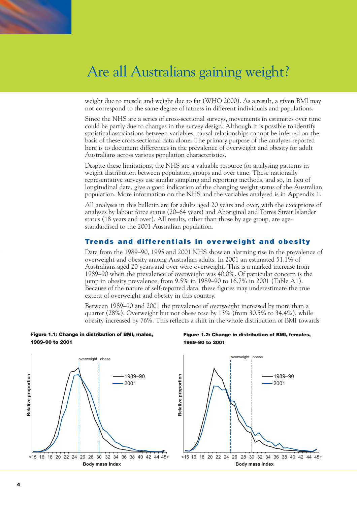

weight due to muscle and weight due to fat (WHO 2000). As a result, a given BMI may not correspond to the same degree of fatness in different individuals and populations.

Since the NHS are a series of cross-sectional surveys, movements in estimates over time could be partly due to changes in the survey design. Although it is possible to identify statistical associations between variables, causal relationships cannot be inferred on the basis of these cross-sectional data alone. The primary purpose of the analyses reported here is to document differences in the prevalence of overweight and obesity for adult Australians across various population characteristics.

Despite these limitations, the NHS are a valuable resource for analysing patterns in weight distribution between population groups and over time. These nationally representative surveys use similar sampling and reporting methods, and so, in lieu of longitudinal data, give a good indication of the changing weight status of the Australian population. More information on the NHS and the variables analysed is in Appendix 1.

All analyses in this bulletin are for adults aged 20 years and over, with the exceptions of analyses by labour force status (20–64 years) and Aboriginal and Torres Strait Islander status (18 years and over). All results, other than those by age group, are agestandardised to the 2001 Australian population.

### **Trends and differentials in overweight and obesity**

Data from the 1989–90, 1995 and 2001 NHS show an alarming rise in the prevalence of overweight and obesity among Australian adults. In 2001 an estimated 51.1% of Australians aged 20 years and over were overweight. This is a marked increase from 1989–90 when the prevalence of overweight was 40.0%. Of particular concern is the jump in obesity prevalence, from 9.5% in 1989–90 to 16.7% in 2001 (Table A1). Because of the nature of self-reported data, these figures may underestimate the true extent of overweight and obesity in this country.

Between 1989–90 and 2001 the prevalence of overweight increased by more than a quarter (28%). Overweight but not obese rose by 13% (from 30.5% to 34.4%), while obesity increased by 76%. This reflects a shift in the whole distribution of BMI towards



**Figure 1.1: Change in distribution of BMI, males,**

### **Figure 1.2: Change in distribution of BMI, females, 1989–90 to 2001**

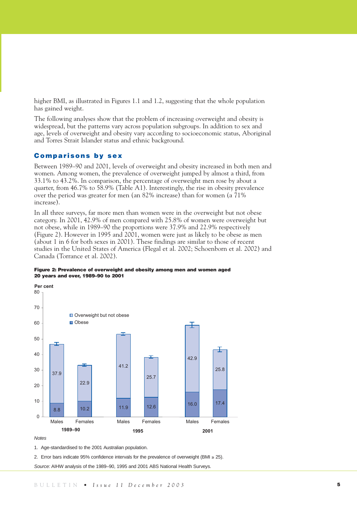higher BMI, as illustrated in Figures 1.1 and 1.2, suggesting that the whole population has gained weight.

The following analyses show that the problem of increasing overweight and obesity is widespread, but the patterns vary across population subgroups. In addition to sex and age, levels of overweight and obesity vary according to socioeconomic status, Aboriginal and Torres Strait Islander status and ethnic background.

### **Comparisons by sex**

Between 1989–90 and 2001, levels of overweight and obesity increased in both men and women. Among women, the prevalence of overweight jumped by almost a third, from 33.1% to 43.2%. In comparison, the percentage of overweight men rose by about a quarter, from 46.7% to 58.9% (Table A1). Interestingly, the rise in obesity prevalence over the period was greater for men (an 82% increase) than for women (a 71% increase).

In all three surveys, far more men than women were in the overweight but not obese category. In 2001, 42.9% of men compared with 25.8% of women were overweight but not obese, while in 1989–90 the proportions were 37.9% and 22.9% respectively (Figure 2). However in 1995 and 2001, women were just as likely to be obese as men (about 1 in 6 for both sexes in 2001). These findings are similar to those of recent studies in the United States of America (Flegal et al. 2002; Schoenborn et al. 2002) and Canada (Torrance et al. 2002).





#### *Notes*

1. Age-standardised to the 2001 Australian population.

2. Error bars indicate 95% confidence intervals for the prevalence of overweight (BMI ≥ 25).

*Source:* AIHW analysis of the 1989–90, 1995 and 2001 ABS National Health Surveys.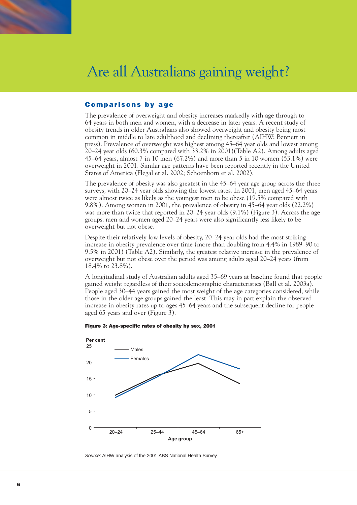### **Comparisons by age**

The prevalence of overweight and obesity increases markedly with age through to 64 years in both men and women, with a decrease in later years. A recent study of obesity trends in older Australians also showed overweight and obesity being most common in middle to late adulthood and declining thereafter (AIHW: Bennett in press). Prevalence of overweight was highest among 45–64 year olds and lowest among 20–24 year olds (60.3% compared with 33.2% in 2001)(Table A2). Among adults aged 45–64 years, almost 7 in 10 men (67.2%) and more than 5 in 10 women (53.1%) were overweight in 2001. Similar age patterns have been reported recently in the United States of America (Flegal et al. 2002; Schoenborn et al. 2002).

The prevalence of obesity was also greatest in the 45–64 year age group across the three surveys, with 20–24 year olds showing the lowest rates. In 2001, men aged 45–64 years were almost twice as likely as the youngest men to be obese (19.5% compared with 9.8%). Among women in 2001, the prevalence of obesity in 45–64 year olds (22.2%) was more than twice that reported in 20–24 year olds (9.1%) (Figure 3). Across the age groups, men and women aged 20–24 years were also significantly less likely to be overweight but not obese.

Despite their relatively low levels of obesity, 20–24 year olds had the most striking increase in obesity prevalence over time (more than doubling from 4.4% in 1989–90 to 9.5% in 2001) (Table A2). Similarly, the greatest relative increase in the prevalence of overweight but not obese over the period was among adults aged 20–24 years (from 18.4% to 23.8%).

A longitudinal study of Australian adults aged 35–69 years at baseline found that people gained weight regardless of their sociodemographic characteristics (Ball et al. 2003a). People aged 30–44 years gained the most weight of the age categories considered, while those in the older age groups gained the least. This may in part explain the observed increase in obesity rates up to ages 45–64 years and the subsequent decline for people aged 65 years and over (Figure 3).





*Source:* AIHW analysis of the 2001 ABS National Health Survey.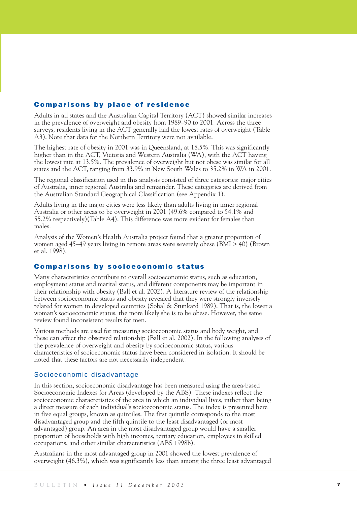### **Comparisons by place of residence**

Adults in all states and the Australian Capital Territory (ACT) showed similar increases in the prevalence of overweight and obesity from 1989–90 to 2001. Across the three surveys, residents living in the ACT generally had the lowest rates of overweight (Table A3). Note that data for the Northern Territory were not available.

The highest rate of obesity in 2001 was in Queensland, at 18.5%. This was significantly higher than in the ACT, Victoria and Western Australia (WA), with the ACT having the lowest rate at 13.5%. The prevalence of overweight but not obese was similar for all states and the ACT, ranging from 33.9% in New South Wales to 35.2% in WA in 2001.

The regional classification used in this analysis consisted of three categories: major cities of Australia, inner regional Australia and remainder. These categories are derived from the Australian Standard Geographical Classification (see Appendix 1).

Adults living in the major cities were less likely than adults living in inner regional Australia or other areas to be overweight in 2001 (49.6% compared to 54.1% and 55.2% respectively)(Table A4). This difference was more evident for females than males.

Analysis of the Women's Health Australia project found that a greater proportion of women aged 45–49 years living in remote areas were severely obese (BMI > 40) (Brown et al. 1998).

### **Comparisons by socioeconomic status**

Many characteristics contribute to overall socioeconomic status, such as education, employment status and marital status, and different components may be important in their relationship with obesity (Ball et al. 2002). A literature review of the relationship between socioeconomic status and obesity revealed that they were strongly inversely related for women in developed countries (Sobal & Stunkard 1989). That is, the lower a woman's socioeconomic status, the more likely she is to be obese. However, the same review found inconsistent results for men.

Various methods are used for measuring socioeconomic status and body weight, and these can affect the observed relationship (Ball et al. 2002). In the following analyses of the prevalence of overweight and obesity by socioeconomic status, various characteristics of socioeconomic status have been considered in isolation. It should be noted that these factors are not necessarily independent.

### Socioeconomic disadvantage

In this section, socioeconomic disadvantage has been measured using the area-based Socioeconomic Indexes for Areas (developed by the ABS). These indexes reflect the socioeconomic characteristics of the area in which an individual lives, rather than being a direct measure of each individual's socioeconomic status. The index is presented here in five equal groups, known as quintiles. The first quintile corresponds to the most disadvantaged group and the fifth quintile to the least disadvantaged (or most advantaged) group. An area in the most disadvantaged group would have a smaller proportion of households with high incomes, tertiary education, employees in skilled occupations, and other similar characteristics (ABS 1998b).

Australians in the most advantaged group in 2001 showed the lowest prevalence of overweight (46.3%), which was significantly less than among the three least advantaged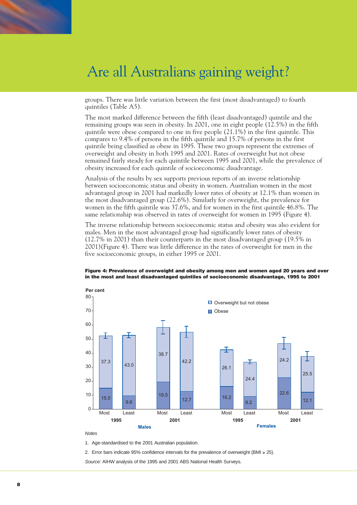

groups. There was little variation between the first (most disadvantaged) to fourth quintiles (Table A5).

The most marked difference between the fifth (least disadvantaged) quintile and the remaining groups was seen in obesity. In 2001, one in eight people (12.5%) in the fifth quintile were obese compared to one in five people (21.1%) in the first quintile. This compares to 9.4% of persons in the fifth quintile and 15.7% of persons in the first quintile being classified as obese in 1995. These two groups represent the extremes of overweight and obesity in both 1995 and 2001. Rates of overweight but not obese remained fairly steady for each quintile between 1995 and 2001, while the prevalence of obesity increased for each quintile of socioeconomic disadvantage.

Analysis of the results by sex supports previous reports of an inverse relationship between socioeconomic status and obesity in women. Australian women in the most advantaged group in 2001 had markedly lower rates of obesity at 12.1% than women in the most disadvantaged group (22.6%). Similarly for overweight, the prevalence for women in the fifth quintile was 37.6%, and for women in the first quintile 46.8%. The same relationship was observed in rates of overweight for women in 1995 (Figure 4).

The inverse relationship between socioeconomic status and obesity was also evident for males. Men in the most advantaged group had significantly lower rates of obesity (12.7% in 2001) than their counterparts in the most disadvantaged group (19.5% in 2001)(Figure 4). There was little difference in the rates of overweight for men in the five socioeconomic groups, in either 1995 or 2001.

#### **Figure 4: Prevalence of overweight and obesity among men and women aged 20 years and over in the most and least disadvantaged quintiles of socioeconomic disadvantage, 1995 to 2001**



#### *Notes*

1. Age-standardised to the 2001 Australian population.

2. Error bars indicate 95% confidence intervals for the prevalence of overweight (BMI  $\geq$  25).

*Source:* AIHW analysis of the 1995 and 2001 ABS National Health Surveys.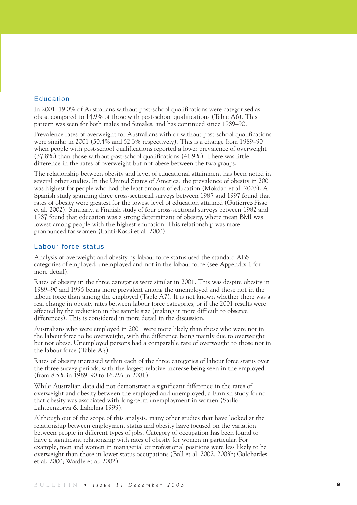### Education

In 2001, 19.0% of Australians without post-school qualifications were categorised as obese compared to 14.9% of those with post-school qualifications (Table A6). This pattern was seen for both males and females, and has continued since 1989–90.

Prevalence rates of overweight for Australians with or without post-school qualifications were similar in 2001 (50.4% and 52.3% respectively). This is a change from 1989–90 when people with post-school qualifications reported a lower prevalence of overweight (37.8%) than those without post-school qualifications (41.9%). There was little difference in the rates of overweight but not obese between the two groups.

The relationship between obesity and level of educational attainment has been noted in several other studies. In the United States of America, the prevalence of obesity in 2001 was highest for people who had the least amount of education (Mokdad et al. 2003). A Spanish study spanning three cross-sectional surveys between 1987 and 1997 found that rates of obesity were greatest for the lowest level of education attained (Gutierrez-Fisac et al. 2002). Similarly, a Finnish study of four cross-sectional surveys between 1982 and 1987 found that education was a strong determinant of obesity, where mean BMI was lowest among people with the highest education. This relationship was more pronounced for women (Lahti-Koski et al. 2000).

### Labour force status

Analysis of overweight and obesity by labour force status used the standard ABS categories of employed, unemployed and not in the labour force (see Appendix 1 for more detail).

Rates of obesity in the three categories were similar in 2001. This was despite obesity in 1989–90 and 1995 being more prevalent among the unemployed and those not in the labour force than among the employed (Table A7). It is not known whether there was a real change in obesity rates between labour force categories, or if the 2001 results were affected by the reduction in the sample size (making it more difficult to observe differences). This is considered in more detail in the discussion.

Australians who were employed in 2001 were more likely than those who were not in the labour force to be overweight, with the difference being mainly due to overweight but not obese. Unemployed persons had a comparable rate of overweight to those not in the labour force (Table A7).

Rates of obesity increased within each of the three categories of labour force status over the three survey periods, with the largest relative increase being seen in the employed (from 8.5% in 1989–90 to 16.2% in 2001).

While Australian data did not demonstrate a significant difference in the rates of overweight and obesity between the employed and unemployed, a Finnish study found that obesity was associated with long-term unemployment in women (Sarlio-Lahteenkorva & Lahelma 1999).

Although out of the scope of this analysis, many other studies that have looked at the relationship between employment status and obesity have focused on the variation between people in different types of jobs. Category of occupation has been found to have a significant relationship with rates of obesity for women in particular. For example, men and women in managerial or professional positions were less likely to be overweight than those in lower status occupations (Ball et al. 2002, 2003b; Galobardes et al. 2000; Wardle et al. 2002).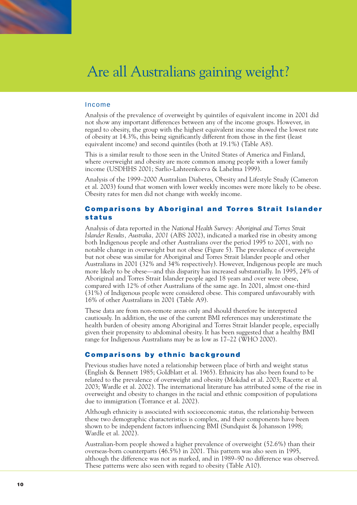

### Income

Analysis of the prevalence of overweight by quintiles of equivalent income in 2001 did not show any important differences between any of the income groups. However, in regard to obesity, the group with the highest equivalent income showed the lowest rate of obesity at 14.3%, this being significantly different from those in the first (least equivalent income) and second quintiles (both at 19.1%) (Table A8).

This is a similar result to those seen in the United States of America and Finland, where overweight and obesity are more common among people with a lower family income (USDHHS 2001; Sarlio-Lahteenkorva & Lahelma 1999).

Analysis of the 1999–2000 Australian Diabetes, Obesity and Lifestyle Study (Cameron et al. 2003) found that women with lower weekly incomes were more likely to be obese. Obesity rates for men did not change with weekly income.

### **Comparisons by Aboriginal and Torres Strait Islander status**

Analysis of data reported in the *National Health Survey: Aboriginal and Torres Strait Islander Results, Australia, 2001* (ABS 2002), indicated a marked rise in obesity among both Indigenous people and other Australians over the period 1995 to 2001, with no notable change in overweight but not obese (Figure 5). The prevalence of overweight but not obese was similar for Aboriginal and Torres Strait Islander people and other Australians in 2001 (32% and 34% respectively). However, Indigenous people are much more likely to be obese—and this disparity has increased substantially. In 1995, 24% of Aboriginal and Torres Strait Islander people aged 18 years and over were obese, compared with 12% of other Australians of the same age. In 2001, almost one-third (31%) of Indigenous people were considered obese. This compared unfavourably with 16% of other Australians in 2001 (Table A9).

These data are from non-remote areas only and should therefore be interpreted cautiously. In addition, the use of the current BMI references may underestimate the health burden of obesity among Aboriginal and Torres Strait Islander people, especially given their propensity to abdominal obesity. It has been suggested that a healthy BMI range for Indigenous Australians may be as low as 17–22 (WHO 2000).

### **Comparisons by ethnic background**

Previous studies have noted a relationship between place of birth and weight status (English & Bennett 1985; Goldblatt et al. 1965). Ethnicity has also been found to be related to the prevalence of overweight and obesity (Mokdad et al. 2003; Racette et al. 2003; Wardle et al. 2002). The international literature has attributed some of the rise in overweight and obesity to changes in the racial and ethnic composition of populations due to immigration (Torrance et al. 2002).

Although ethnicity is associated with socioeconomic status, the relationship between these two demographic characteristics is complex, and their components have been shown to be independent factors influencing BMI (Sundquist & Johansson 1998; Wardle et al. 2002).

Australian-born people showed a higher prevalence of overweight (52.6%) than their overseas-born counterparts (46.5%) in 2001. This pattern was also seen in 1995, although the difference was not as marked, and in 1989–90 no difference was observed. These patterns were also seen with regard to obesity (Table A10).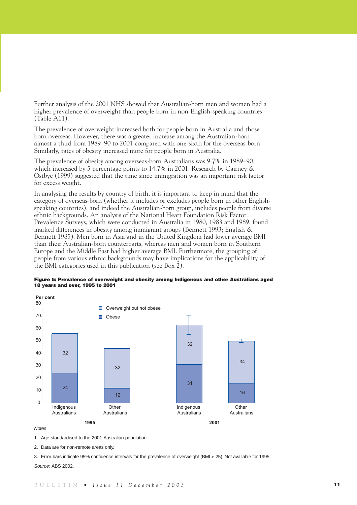Further analysis of the 2001 NHS showed that Australian-born men and women had a higher prevalence of overweight than people born in non-English-speaking countries (Table A11).

The prevalence of overweight increased both for people born in Australia and those born overseas. However, there was a greater increase among the Australian-born almost a third from 1989–90 to 2001 compared with one-sixth for the overseas-born. Similarly, rates of obesity increased more for people born in Australia.

The prevalence of obesity among overseas-born Australians was 9.7% in 1989–90, which increased by 5 percentage points to 14.7% in 2001. Research by Cairney & Ostbye (1999) suggested that the time since immigration was an important risk factor for excess weight.

In analysing the results by country of birth, it is important to keep in mind that the category of overseas-born (whether it includes or excludes people born in other Englishspeaking countries), and indeed the Australian-born group, includes people from diverse ethnic backgrounds. An analysis of the National Heart Foundation Risk Factor Prevalence Surveys, which were conducted in Australia in 1980, 1983 and 1989, found marked differences in obesity among immigrant groups (Bennett 1993; English & Bennett 1985). Men born in Asia and in the United Kingdom had lower average BMI than their Australian-born counterparts, whereas men and women born in Southern Europe and the Middle East had higher average BMI. Furthermore, the grouping of people from various ethnic backgrounds may have implications for the applicability of the BMI categories used in this publication (see Box 2).





### *Notes*

1. Age-standardised to the 2001 Australian population.

2. Data are for non-remote areas only.

3. Error bars indicate 95% confidence intervals for the prevalence of overweight (BMI ≥ 25). Not available for 1995.

*Source:* ABS 2002.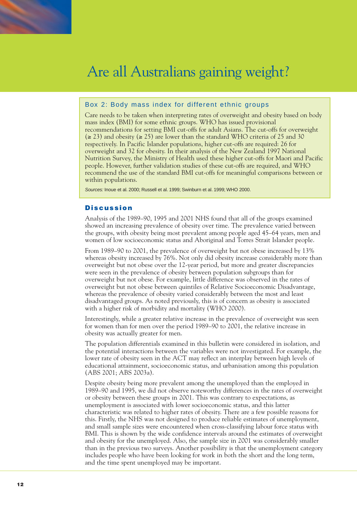

### Box 2: Body mass index for different ethnic groups

Care needs to be taken when interpreting rates of overweight and obesity based on body mass index (BMI) for some ethnic groups. WHO has issued provisional recommendations for setting BMI cut-offs for adult Asians. The cut-offs for overweight (≥ 23) and obesity (≥ 25) are lower than the standard WHO criteria of 25 and 30 respectively. In Pacific Islander populations, higher cut-offs are required: 26 for overweight and 32 for obesity. In their analysis of the New Zealand 1997 National Nutrition Survey, the Ministry of Health used these higher cut-offs for Maori and Pacific people. However, further validation studies of these cut-offs are required, and WHO recommend the use of the standard BMI cut-offs for meaningful comparisons between or within populations.

*Sources:* Inoue et al. 2000; Russell et al. 1999; Swinburn et al. 1999; WHO 2000.

### **Discussion**

Analysis of the 1989–90, 1995 and 2001 NHS found that all of the groups examined showed an increasing prevalence of obesity over time. The prevalence varied between the groups, with obesity being most prevalent among people aged 45–64 years, men and women of low socioeconomic status and Aboriginal and Torres Strait Islander people.

From 1989–90 to 2001, the prevalence of overweight but not obese increased by 13% whereas obesity increased by 76%. Not only did obesity increase considerably more than overweight but not obese over the 12-year period, but more and greater discrepancies were seen in the prevalence of obesity between population subgroups than for overweight but not obese. For example, little difference was observed in the rates of overweight but not obese between quintiles of Relative Socioeconomic Disadvantage, whereas the prevalence of obesity varied considerably between the most and least disadvantaged groups. As noted previously, this is of concern as obesity is associated with a higher risk of morbidity and mortality (WHO 2000).

Interestingly, while a greater relative increase in the prevalence of overweight was seen for women than for men over the period 1989–90 to 2001, the relative increase in obesity was actually greater for men.

The population differentials examined in this bulletin were considered in isolation, and the potential interactions between the variables were not investigated. For example, the lower rate of obesity seen in the ACT may reflect an interplay between high levels of educational attainment, socioeconomic status, and urbanisation among this population (ABS 2001; ABS 2003a).

Despite obesity being more prevalent among the unemployed than the employed in 1989–90 and 1995, we did not observe noteworthy differences in the rates of overweight or obesity between these groups in 2001. This was contrary to expectations, as unemployment is associated with lower socioeconomic status, and this latter characteristic was related to higher rates of obesity. There are a few possible reasons for this. Firstly, the NHS was not designed to produce reliable estimates of unemployment, and small sample sizes were encountered when cross-classifying labour force status with BMI. This is shown by the wide confidence intervals around the estimates of overweight and obesity for the unemployed. Also, the sample size in 2001 was considerably smaller than in the previous two surveys. Another possibility is that the unemployment category includes people who have been looking for work in both the short and the long term, and the time spent unemployed may be important.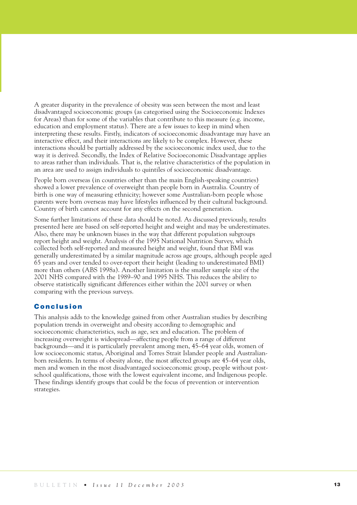A greater disparity in the prevalence of obesity was seen between the most and least disadvantaged socioeconomic groups (as categorised using the Socioeconomic Indexes for Areas) than for some of the variables that contribute to this measure (e.g. income, education and employment status). There are a few issues to keep in mind when interpreting these results. Firstly, indicators of socioeconomic disadvantage may have an interactive effect, and their interactions are likely to be complex. However, these interactions should be partially addressed by the socioeconomic index used, due to the way it is derived. Secondly, the Index of Relative Socioeconomic Disadvantage applies to areas rather than individuals. That is, the relative characteristics of the population in an area are used to assign individuals to quintiles of socioeconomic disadvantage.

People born overseas (in countries other than the main English-speaking countries) showed a lower prevalence of overweight than people born in Australia. Country of birth is one way of measuring ethnicity; however some Australian-born people whose parents were born overseas may have lifestyles influenced by their cultural background. Country of birth cannot account for any effects on the second generation.

Some further limitations of these data should be noted. As discussed previously, results presented here are based on self-reported height and weight and may be underestimates. Also, there may be unknown biases in the way that different population subgroups report height and weight. Analysis of the 1995 National Nutrition Survey, which collected both self-reported and measured height and weight, found that BMI was generally underestimated by a similar magnitude across age groups, although people aged 65 years and over tended to over-report their height (leading to underestimated BMI) more than others (ABS 1998a). Another limitation is the smaller sample size of the 2001 NHS compared with the 1989–90 and 1995 NHS. This reduces the ability to observe statistically significant differences either within the 2001 survey or when comparing with the previous surveys.

### **Conclusion**

This analysis adds to the knowledge gained from other Australian studies by describing population trends in overweight and obesity according to demographic and socioeconomic characteristics, such as age, sex and education. The problem of increasing overweight is widespread—affecting people from a range of different backgrounds—and it is particularly prevalent among men, 45–64 year olds, women of low socioeconomic status, Aboriginal and Torres Strait Islander people and Australianborn residents. In terms of obesity alone, the most affected groups are 45–64 year olds, men and women in the most disadvantaged socioeconomic group, people without postschool qualifications, those with the lowest equivalent income, and Indigenous people. These findings identify groups that could be the focus of prevention or intervention strategies.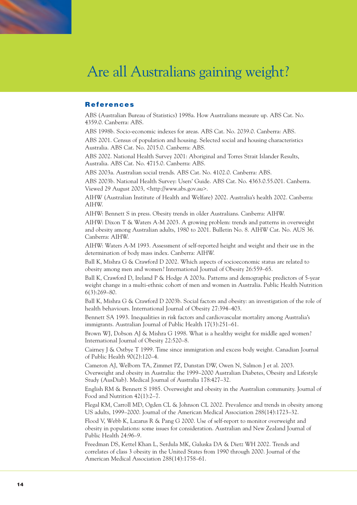### **References**

ABS (Australian Bureau of Statistics) 1998a. How Australians measure up. ABS Cat. No. 4359.0. Canberra: ABS.

ABS 1998b. Socio-economic indexes for areas. ABS Cat. No. 2039.0. Canberra: ABS.

ABS 2001. Census of population and housing. Selected social and housing characteristics Australia. ABS Cat. No. 2015.0. Canberra: ABS.

ABS 2002. National Health Survey 2001: Aboriginal and Torres Strait Islander Results, Australia. ABS Cat. No. 4715.0. Canberra: ABS.

ABS 2003a. Australian social trends. ABS Cat. No. 4102.0. Canberra: ABS.

ABS 2003b. National Health Survey: Users' Guide. ABS Cat. No. 4363.0.55.001. Canberra. Viewed 29 August 2003, <http://www.abs.gov.au>.

AIHW (Australian Institute of Health and Welfare) 2002. Australia's health 2002. Canberra: AIHW.

AIHW: Bennett S in press. Obesity trends in older Australians. Canberra: AIHW.

AIHW: Dixon T & Waters A-M 2003. A growing problem: trends and patterns in overweight and obesity among Australian adults, 1980 to 2001. Bulletin No. 8. AIHW Cat. No. AUS 36. Canberra: AIHW.

AIHW: Waters A-M 1993. Assessment of self-reported height and weight and their use in the determination of body mass index. Canberra: AIHW.

Ball K, Mishra G & Crawford D 2002. Which aspects of socioeconomic status are related to obesity among men and women? International Journal of Obesity 26:559–65.

Ball K, Crawford D, Ireland P & Hodge A 2003a. Patterns and demographic predictors of 5-year weight change in a multi-ethnic cohort of men and women in Australia. Public Health Nutrition 6(3):269–80.

Ball K, Mishra G & Crawford D 2003b. Social factors and obesity: an investigation of the role of health behaviours. International Journal of Obesity 27:394–403.

Bennett SA 1993. Inequalities in risk factors and cardiovascular mortality among Australia's immigrants. Australian Journal of Public Health 17(3):251–61.

Brown WJ, Dobson AJ & Mishra G 1998. What is a healthy weight for middle aged women? International Journal of Obesity 22:520–8.

Cairney J & Ostbye T 1999. Time since immigration and excess body weight. Canadian Journal of Public Health 90(2):120–4.

Cameron AJ, Welborn TA, Zimmet PZ, Dunstan DW, Owen N, Salmon J et al. 2003. Overweight and obesity in Australia: the 1999–2000 Australian Diabetes, Obesity and Lifestyle Study (AusDiab). Medical Journal of Australia 178:427–32.

English RM & Bennett S 1985. Overweight and obesity in the Australian community. Journal of Food and Nutrition 42(1):2–7.

Flegal KM, Carroll MD, Ogden CL & Johnson CL 2002. Prevalence and trends in obesity among US adults, 1999–2000. Journal of the American Medical Association 288(14):1723–32.

Flood V, Webb K, Lazarus R & Pang G 2000. Use of self-report to monitor overweight and obesity in populations: some issues for consideration. Australian and New Zealand Journal of Public Health 24:96–9.

Freedman DS, Kettel Khan L, Serdula MK, Galuska DA & Dietz WH 2002. Trends and correlates of class 3 obesity in the United States from 1990 through 2000. Journal of the American Medical Association 288(14):1758–61.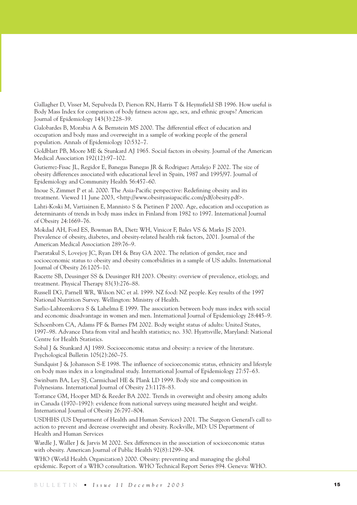Gallagher D, Visser M, Sepulveda D, Pierson RN, Harris T & Heymsfield SB 1996. How useful is Body Mass Index for comparison of body fatness across age, sex, and ethnic groups? American Journal of Epidemiology 143(3):228–39.

Galobardes B, Morabia A & Bernstein MS 2000. The differential effect of education and occupation and body mass and overweight in a sample of working people of the general population. Annals of Epidemiology 10:532–7.

Goldblatt PB, Moore ME & Stunkard AJ 1965. Social factors in obesity. Journal of the American Medical Association 192(12):97–102.

Gutierrez-Fisac JL, Regidor E, Banegas Banegas JR & Rodriguez Artalejo F 2002. The size of obesity differences associated with educational level in Spain, 1987 and 1995/97. Journal of Epidemiology and Community Health 56:457–60.

Inoue S, Zimmet P et al. 2000. The Asia-Pacific perspective: Redefining obesity and its treatment. Viewed 11 June 2003, <http://www.obesityasiapacific.com/pdf/obesity.pdf>.

Lahti-Koski M, Vartiainen E, Mannisto S & Pietinen P 2000. Age, education and occupation as determinants of trends in body mass index in Finland from 1982 to 1997. International Journal of Obesity 24:1669–76.

Mokdad AH, Ford ES, Bowman BA, Dietz WH, Vinicor F, Bales VS & Marks JS 2003. Prevalence of obesity, diabetes, and obesity-related health risk factors, 2001. Journal of the American Medical Association 289:76–9.

Paeratakul S, Lovejoy JC, Ryan DH & Bray GA 2002. The relation of gender, race and socioeconomic status to obesity and obesity comorbidities in a sample of US adults. International Journal of Obesity 26:1205–10.

Racette SB, Deusinger SS & Deusinger RH 2003. Obesity: overview of prevalence, etiology, and treatment. Physical Therapy 83(3):276–88.

Russell DG, Parnell WR, Wilson NC et al. 1999. NZ food: NZ people. Key results of the 1997 National Nutrition Survey. Wellington: Ministry of Health.

Sarlio-Lahteenkorva S & Lahelma E 1999. The association between body mass index with social and economic disadvantage in women and men. International Journal of Epidemiology 28:445–9.

Schoenborn CA, Adams PF & Barnes PM 2002. Body weight status of adults: United States, 1997–98. Advance Data from vital and health statistics; no. 330. Hyattsville, Maryland: National Centre for Health Statistics.

Sobal J & Stunkard AJ 1989. Socioeconomic status and obesity: a review of the literature. Psychological Bulletin 105(2):260–75.

Sundquist J & Johansson S-E 1998. The influence of socioeconomic status, ethnicity and lifestyle on body mass index in a longitudinal study. International Journal of Epidemiology 27:57–63.

Swinburn BA, Ley SJ, Carmichael HE & Plank LD 1999. Body size and composition in Polynesians. International Journal of Obesity 23:1178–83.

Torrance GM, Hooper MD & Reeder BA 2002. Trends in overweight and obesity among adults in Canada (1970–1992): evidence from national surveys using measured height and weight. International Journal of Obesity 26:797–804.

USDHHS (US Department of Health and Human Services) 2001. The Surgeon General's call to action to prevent and decrease overweight and obesity. Rockville, MD: US Department of Health and Human Services

Wardle J, Waller J & Jarvis M 2002. Sex differences in the association of socioeconomic status with obesity. American Journal of Public Health 92(8):1299–304.

WHO (World Health Organization) 2000. Obesity: preventing and managing the global epidemic. Report of a WHO consultation. WHO Technical Report Series 894. Geneva: WHO.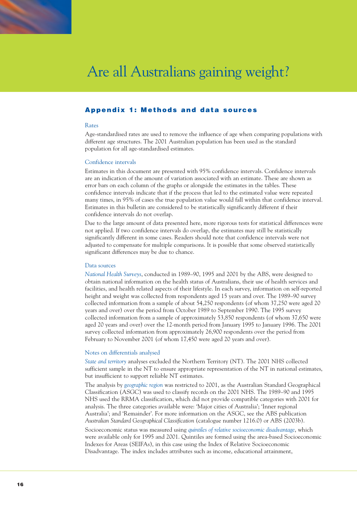

### **Appendix 1: Methods and data sources**

### Rates

Age-standardised rates are used to remove the influence of age when comparing populations with different age structures. The 2001 Australian population has been used as the standard population for all age-standardised estimates.

### Confidence intervals

Estimates in this document are presented with 95% confidence intervals. Confidence intervals are an indication of the amount of variation associated with an estimate. These are shown as error bars on each column of the graphs or alongside the estimates in the tables. These confidence intervals indicate that if the process that led to the estimated value were repeated many times, in 95% of cases the true population value would fall within that confidence interval. Estimates in this bulletin are considered to be statistically significantly different if their confidence intervals do not overlap.

Due to the large amount of data presented here, more rigorous tests for statistical differences were not applied. If two confidence intervals do overlap, the estimates may still be statistically significantly different in some cases. Readers should note that confidence intervals were not adjusted to compensate for multiple comparisons. It is possible that some observed statistically significant differences may be due to chance.

#### Data sources

*National Health Surveys*, conducted in 1989–90, 1995 and 2001 by the ABS, were designed to obtain national information on the health status of Australians, their use of health services and facilities, and health related aspects of their lifestyle. In each survey, information on self-reported height and weight was collected from respondents aged 15 years and over. The 1989–90 survey collected information from a sample of about 54,250 respondents (of whom 37,250 were aged 20 years and over) over the period from October 1989 to September 1990. The 1995 survey collected information from a sample of approximately 53,850 respondents (of whom 37,650 were aged 20 years and over) over the 12-month period from January 1995 to January 1996. The 2001 survey collected information from approximately 26,900 respondents over the period from February to November 2001 (of whom 17,450 were aged 20 years and over).

### Notes on differentials analysed

*State and territory* analyses excluded the Northern Territory (NT). The 2001 NHS collected sufficient sample in the NT to ensure appropriate representation of the NT in national estimates, but insufficient to support reliable NT estimates.

The analysis by *geographic region* was restricted to 2001, as the Australian Standard Geographical Classification (ASGC) was used to classify records on the 2001 NHS. The 1989–90 and 1995 NHS used the RRMA classification, which did not provide compatible categories with 2001 for analysis. The three categories available were: 'Major cities of Australia'; 'Inner regional Australia'; and 'Remainder'. For more information on the ASGC, see the ABS publication *Australian Standard Geographical Classification* (catalogue number 1216.0) or ABS (2003b).

Socioeconomic status was measured using *quintiles of relative socioeconomic disadvantage*, which were available only for 1995 and 2001. Quintiles are formed using the area-based Socioeconomic Indexes for Areas (SEIFAs), in this case using the Index of Relative Socioeconomic Disadvantage. The index includes attributes such as income, educational attainment,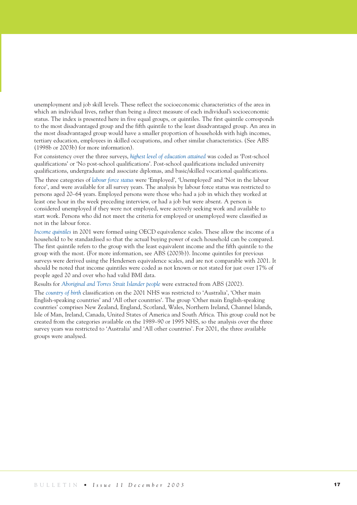unemployment and job skill levels. These reflect the socioeconomic characteristics of the area in which an individual lives, rather than being a direct measure of each individual's socioeconomic status. The index is presented here in five equal groups, or quintiles. The first quintile corresponds to the most disadvantaged group and the fifth quintile to the least disadvantaged group. An area in the most disadvantaged group would have a smaller proportion of households with high incomes, tertiary education, employees in skilled occupations, and other similar characteristics. (See ABS (1998b or 2003b) for more information).

For consistency over the three surveys, *highest level of education attained* was coded as 'Post-school qualifications' or 'No post-school qualifications'. Post-school qualifications included university qualifications, undergraduate and associate diplomas, and basic/skilled vocational qualifications. The three categories of *labour force status* were 'Employed', 'Unemployed' and 'Not in the labour force', and were available for all survey years. The analysis by labour force status was restricted to persons aged 20–64 years. Employed persons were those who had a job in which they worked at least one hour in the week preceding interview, or had a job but were absent. A person is considered unemployed if they were not employed, were actively seeking work and available to start work. Persons who did not meet the criteria for employed or unemployed were classified as not in the labour force.

*Income quintiles* in 2001 were formed using OECD equivalence scales. These allow the income of a household to be standardised so that the actual buying power of each household can be compared. The first quintile refers to the group with the least equivalent income and the fifth quintile to the group with the most. (For more information, see ABS (2003b)). Income quintiles for previous surveys were derived using the Hendersen equivalence scales, and are not comparable with 2001. It should be noted that income quintiles were coded as not known or not stated for just over 17% of people aged 20 and over who had valid BMI data.

Results for *Aboriginal and Torres Strait Islander people* were extracted from ABS (2002).

The *country of birth* classification on the 2001 NHS was restricted to 'Australia', 'Other main English-speaking countries' and 'All other countries'. The group 'Other main English-speaking countries' comprises New Zealand, England, Scotland, Wales, Northern Ireland, Channel Islands, Isle of Man, Ireland, Canada, United States of America and South Africa. This group could not be created from the categories available on the 1989–90 or 1995 NHS, so the analysis over the three survey years was restricted to 'Australia' and 'All other countries'. For 2001, the three available groups were analysed.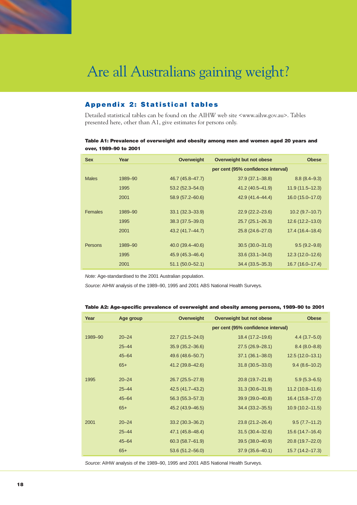

### **Appendix 2: Statistical tables**

Detailed statistical tables can be found on the AIHW web site <www.aihw.gov.au>. Tables presented here, other than A1, give estimates for persons only.

### **Table A1: Prevalence of overweight and obesity among men and women aged 20 years and over, 1989–90 to 2001**

| <b>Sex</b>     | Year    | <b>Overweight</b>    | Overweight but not obese           | <b>Obese</b>        |
|----------------|---------|----------------------|------------------------------------|---------------------|
|                |         |                      | per cent (95% confidence interval) |                     |
| <b>Males</b>   | 1989-90 | 46.7 (45.8–47.7)     | $37.9(37.1 - 38.8)$                | $8.8(8.4 - 9.3)$    |
|                | 1995    | $53.2(52.3 - 54.0)$  | 41.2 (40.5–41.9)                   | $11.9(11.5 - 12.3)$ |
|                | 2001    | $58.9(57.2 - 60.6)$  | 42.9 (41.4–44.4)                   | $16.0(15.0-17.0)$   |
|                |         |                      |                                    |                     |
| <b>Females</b> | 1989-90 | $33.1 (32.3 - 33.9)$ | $22.9(22.2 - 23.6)$                | $10.2(9.7-10.7)$    |
|                | 1995    | 38.3 (37.5 - 39.0)   | $25.7(25.1 - 26.3)$                | $12.6(12.2 - 13.0)$ |
|                | 2001    | 43.2 (41.7–44.7)     | 25.8 (24.6-27.0)                   | $17.4(16.4-18.4)$   |
|                |         |                      |                                    |                     |
| Persons        | 1989-90 | $40.0(39.4 - 40.6)$  | $30.5(30.0 - 31.0)$                | $9.5(9.2 - 9.8)$    |
|                | 1995    | 45.9 (45.3–46.4)     | $33.6(33.1 - 34.0)$                | $12.3(12.0 - 12.6)$ |
|                | 2001    | $51.1 (50.0 - 52.1)$ | $34.4(33.5 - 35.3)$                | $16.7(16.0-17.4)$   |
|                |         |                      |                                    |                     |

*Note:* Age-standardised to the 2001 Australian population.

*Source:* AIHW analysis of the 1989–90, 1995 and 2001 ABS National Health Surveys.

### **Table A2: Age-specific prevalence of overweight and obesity among persons, 1989–90 to 2001**

| Year    | Age group | Overweight          | Overweight but not obese           | <b>Obese</b>        |
|---------|-----------|---------------------|------------------------------------|---------------------|
|         |           |                     | per cent (95% confidence interval) |                     |
| 1989-90 | $20 - 24$ | $22.7(21.5 - 24.0)$ | 18.4 (17.2-19.6)                   | $4.4(3.7-5.0)$      |
|         | $25 - 44$ | $35.9(35.2 - 36.6)$ | 27.5 (26.9-28.1)                   | $8.4(8.0 - 8.8)$    |
|         | $45 - 64$ | 49.6 (48.6-50.7)    | $37.1 (36.1 - 38.0)$               | $12.5(12.0-13.1)$   |
|         | $65+$     | 41.2 (39.8-42.6)    | $31.8(30.5 - 33.0)$                | $9.4(8.6-10.2)$     |
| 1995    | $20 - 24$ | 26.7 (25.5-27.9)    | 20.8 (19.7-21.9)                   | $5.9(5.3 - 6.5)$    |
|         | $25 - 44$ | 42.5 (41.7-43.2)    | $31.3(30.6 - 31.9)$                | $11.2(10.8 - 11.6)$ |
|         | $45 - 64$ | $56.3(55.3 - 57.3)$ | 39.9 (39.0-40.8)                   | $16.4(15.8-17.0)$   |
|         | $65+$     | 45.2 (43.9 - 46.5)  | $34.4(33.2 - 35.5)$                | $10.9(10.2 - 11.5)$ |
| 2001    | $20 - 24$ | $33.2(30.3 - 36.2)$ | $23.8(21.2 - 26.4)$                | $9.5(7.7-11.2)$     |
|         | $25 - 44$ | 47.1 (45.8-48.4)    | $31.5(30.4 - 32.6)$                | $15.6(14.7-16.4)$   |
|         | $45 - 64$ | $60.3(58.7 - 61.9)$ | 39.5 (38.0-40.9)                   | 20.8 (19.7-22.0)    |
|         | $65+$     | $53.6(51.2 - 56.0)$ | $37.9(35.6 - 40.1)$                | $15.7(14.2 - 17.3)$ |

*Source:* AIHW analysis of the 1989–90, 1995 and 2001 ABS National Health Surveys.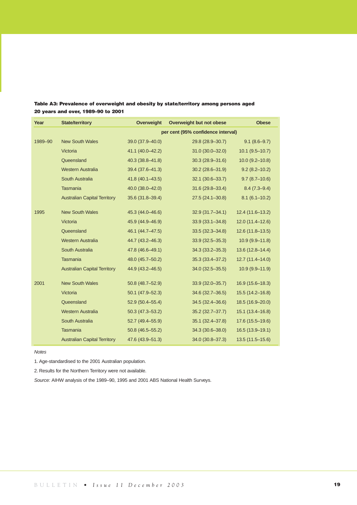| Year    | <b>State/territory</b>              | Overweight           | Overweight but not obese           | <b>Obese</b>        |
|---------|-------------------------------------|----------------------|------------------------------------|---------------------|
|         |                                     |                      | per cent (95% confidence interval) |                     |
| 1989-90 | <b>New South Wales</b>              | 39.0 (37.9-40.0)     | 29.8 (28.9-30.7)                   | $9.1(8.6 - 9.7)$    |
|         | Victoria                            | 41.1 (40.0-42.2)     | 31.0 (30.0-32.0)                   | $10.1 (9.5 - 10.7)$ |
|         | Queensland                          | 40.3 (38.8-41.8)     | $30.3(28.9 - 31.6)$                | $10.0 (9.2 - 10.8)$ |
|         | <b>Western Australia</b>            | 39.4 (37.6-41.3)     | 30.2 (28.6-31.9)                   | $9.2(8.2 - 10.2)$   |
|         | South Australia                     | 41.8 (40.1-43.5)     | 32.1 (30.6-33.7)                   | $9.7(8.7-10.6)$     |
|         | Tasmania                            | 40.0 (38.0-42.0)     | 31.6 (29.8-33.4)                   | $8.4(7.3-9.4)$      |
|         | <b>Australian Capital Territory</b> | 35.6 (31.8-39.4)     | $27.5(24.1 - 30.8)$                | $8.1(6.1-10.2)$     |
| 1995    | <b>New South Wales</b>              | 45.3 (44.0-46.6)     | $32.9(31.7 - 34.1)$                | 12.4 (11.6-13.2)    |
|         | Victoria                            | 45.9 (44.9-46.9)     | $33.9(33.1 - 34.8)$                | 12.0 (11.4-12.6)    |
|         | Queensland                          | 46.1 (44.7-47.5)     | $33.5(32.3 - 34.8)$                | $12.6(11.8-13.5)$   |
|         | <b>Western Australia</b>            | 44.7 (43.2-46.3)     | $33.9(32.5 - 35.3)$                | $10.9(9.9 - 11.8)$  |
|         | South Australia                     | 47.8 (46.6-49.1)     | $34.3(33.2 - 35.3)$                | 13.6 (12.8-14.4)    |
|         | <b>Tasmania</b>                     | 48.0 (45.7-50.2)     | 35.3 (33.4-37.2)                   | 12.7 (11.4-14.0)    |
|         | <b>Australian Capital Territory</b> | 44.9 (43.2-46.5)     | 34.0 (32.5 - 35.5)                 | 10.9 (9.9-11.9)     |
| 2001    | <b>New South Wales</b>              | 50.8 (48.7-52.9)     | 33.9 (32.0-35.7)                   | 16.9 (15.6-18.3)    |
|         | Victoria                            | $50.1 (47.9 - 52.3)$ | 34.6 (32.7-36.5)                   | 15.5 (14.2-16.8)    |
|         | Queensland                          | $52.9(50.4 - 55.4)$  | $34.5(32.4 - 36.6)$                | 18.5 (16.9-20.0)    |
|         | <b>Western Australia</b>            | $50.3(47.3 - 53.2)$  | 35.2 (32.7-37.7)                   | 15.1 (13.4-16.8)    |
|         | South Australia                     | 52.7 (49.4-55.9)     | 35.1 (32.4-37.8)                   | 17.6 (15.5-19.6)    |
|         | <b>Tasmania</b>                     | $50.8(46.5 - 55.2)$  | 34.3 (30.6-38.0)                   | 16.5 (13.9-19.1)    |
|         | <b>Australian Capital Territory</b> | 47.6 (43.9-51.3)     | 34.0 (30.8-37.3)                   | $13.5(11.5 - 15.6)$ |

### **Table A3: Prevalence of overweight and obesity by state/territory among persons aged 20 years and over, 1989–90 to 2001**

*Notes*

1. Age-standardised to the 2001 Australian population.

2. Results for the Northern Territory were not available.

*Source:* AIHW analysis of the 1989–90, 1995 and 2001 ABS National Health Surveys.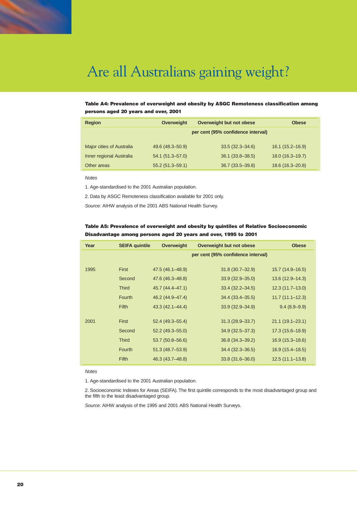

### **Table A4: Prevalence of overweight and obesity by ASGC Remoteness classification among persons aged 20 years and over, 2001**

| <b>Region</b>             | <b>Overweight</b>    | Overweight but not obese           | <b>Obese</b>         |
|---------------------------|----------------------|------------------------------------|----------------------|
|                           |                      | per cent (95% confidence interval) |                      |
|                           |                      |                                    |                      |
| Major cities of Australia | 49.6 (48.3-50.9)     | $33.5(32.3 - 34.6)$                | $16.1 (15.2 - 16.9)$ |
| Inner regional Australia  | $54.1 (51.3 - 57.0)$ | $36.1 (33.8 - 38.5)$               | $18.0(16.3 - 19.7)$  |
| Other areas               | $55.2(51.3 - 59.1)$  | $36.7(33.5 - 39.8)$                | $18.6(16.3 - 20.8)$  |

*Notes*

1. Age-standardised to the 2001 Australian population.

2. Data by ASGC Remoteness classification available for 2001 only.

*Source:* AIHW analysis of the 2001 ABS National Health Survey.

### **Table A5: Prevalence of overweight and obesity by quintiles of Relative Socioeconomic Disadvantage among persons aged 20 years and over, 1995 to 2001**

| Year | <b>SEIFA quintile</b> | <b>Overweight</b>   | Overweight but not obese           | <b>Obese</b>        |
|------|-----------------------|---------------------|------------------------------------|---------------------|
|      |                       |                     | per cent (95% confidence interval) |                     |
|      |                       |                     |                                    |                     |
| 1995 | <b>First</b>          | 47.5 (46.1–48.9)    | $31.8(30.7 - 32.9)$                | $15.7(14.9 - 16.5)$ |
|      | Second                | 47.6 (46.3–48.8)    | $33.9(32.9 - 35.0)$                | $13.6(12.9 - 14.3)$ |
|      | <b>Third</b>          | 45.7 (44.4–47.1)    | $33.4 (32.2 - 34.5)$               | $12.3(11.7-13.0)$   |
|      | Fourth                | 46.2 (44.9-47.4)    | 34.4 (33.4 - 35.5)                 | $11.7(11.1 - 12.3)$ |
|      | <b>Fifth</b>          | $43.3(42.1 - 44.4)$ | $33.9(32.9 - 34.9)$                | $9.4(8.9-9.9)$      |
| 2001 | First                 | $52.4(49.3 - 55.4)$ | $31.3(28.9 - 33.7)$                | $21.1(19.1 - 23.1)$ |
|      | Second                | $52.2(49.3 - 55.0)$ | $34.9(32.5 - 37.3)$                | 17.3 (15.6-18.9)    |
|      | <b>Third</b>          | $53.7(50.8 - 56.6)$ | $36.8(34.3 - 39.2)$                | $16.9(15.3 - 18.6)$ |
|      | Fourth                | $51.3(48.7 - 53.9)$ | 34.4 (32.3–36.5)                   | $16.9(15.4 - 18.5)$ |
|      | <b>Fifth</b>          | 46.3 (43.7-48.8)    | $33.8(31.6 - 36.0)$                | $12.5(11.1 - 13.8)$ |

*Notes*

1. Age-standardised to the 2001 Australian population.

2. Socioeconomic Indexes for Areas (SEIFA). The first quintile corresponds to the most disadvantaged group and the fifth to the least disadvantaged group.

*Source:* AIHW analysis of the 1995 and 2001 ABS National Health Surveys.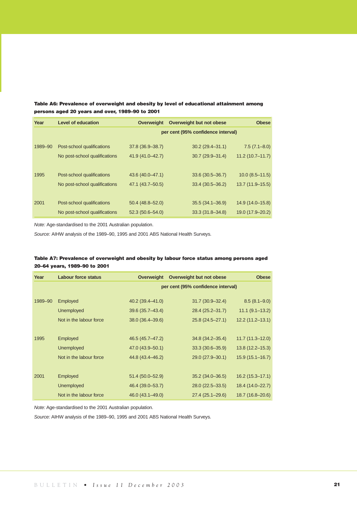### **Table A6: Prevalence of overweight and obesity by level of educational attainment among persons aged 20 years and over, 1989–90 to 2001**

| Year    | <b>Level of education</b>     | Overweight          | Overweight but not obese           | <b>Obese</b>        |
|---------|-------------------------------|---------------------|------------------------------------|---------------------|
|         |                               |                     | per cent (95% confidence interval) |                     |
| 1989-90 | Post-school qualifications    | 37.8 (36.9 - 38.7)  | $30.2(29.4 - 31.1)$                | $7.5(7.1 - 8.0)$    |
|         | No post-school qualifications | 41.9 (41.0-42.7)    | $30.7(29.9 - 31.4)$                | $11.2(10.7 - 11.7)$ |
|         |                               |                     |                                    |                     |
| 1995    | Post-school qualifications    | 43.6 (40.0-47.1)    | $33.6(30.5 - 36.7)$                | $10.0 (8.5 - 11.5)$ |
|         | No post-school qualifications | 47.1 (43.7-50.5)    | $33.4(30.5 - 36.2)$                | $13.7(11.9-15.5)$   |
|         |                               |                     |                                    |                     |
| 2001    | Post-school qualifications    | $50.4(48.8 - 52.0)$ | $35.5(34.1 - 36.9)$                | 14.9 (14.0-15.8)    |
|         | No post-school qualifications | $52.3(50.6 - 54.0)$ | $33.3(31.8 - 34.8)$                | 19.0 (17.9-20.2)    |

*Note:* Age-standardised to the 2001 Australian population.

*Source:* AIHW analysis of the 1989–90, 1995 and 2001 ABS National Health Surveys.

### **Table A7: Prevalence of overweight and obesity by labour force status among persons aged 20–64 years, 1989–90 to 2001**

| Year    | <b>Labour force status</b> | <b>Overweight</b>  | Overweight but not obese           | <b>Obese</b>        |
|---------|----------------------------|--------------------|------------------------------------|---------------------|
|         |                            |                    | per cent (95% confidence interval) |                     |
| 1989-90 | Employed                   | 40.2 (39.4-41.0)   | $31.7(30.9 - 32.4)$                | $8.5(8.1-9.0)$      |
|         | <b>Unemployed</b>          | 39.6 (35.7-43.4)   | 28.4 (25.2-31.7)                   | $11.1 (9.1 - 13.2)$ |
|         | Not in the labour force    | 38.0 (36.4-39.6)   | 25.8 (24.5-27.1)                   | $12.2(11.2 - 13.1)$ |
|         |                            |                    |                                    |                     |
| 1995    | Employed                   | 46.5 (45.7-47.2)   | 34.8 (34.2-35.4)                   | $11.7(11.3 - 12.0)$ |
|         | <b>Unemployed</b>          | 47.0 (43.9 - 50.1) | $33.3(30.6 - 35.9)$                | $13.8(12.2 - 15.3)$ |
|         | Not in the labour force    | 44.8 (43.4–46.2)   | 29.0 (27.9-30.1)                   | $15.9(15.1 - 16.7)$ |
|         |                            |                    |                                    |                     |
| 2001    | Employed                   | 51.4 (50.0-52.9)   | $35.2(34.0 - 36.5)$                | 16.2 (15.3-17.1)    |
|         | <b>Unemployed</b>          | 46.4 (39.0–53.7)   | 28.0 (22.5 - 33.5)                 | 18.4 (14.0-22.7)    |
|         | Not in the labour force    | 46.0 (43.1-49.0)   | 27.4 (25.1-29.6)                   | 18.7 (16.8-20.6)    |

*Note:* Age-standardised to the 2001 Australian population.

*Source:* AIHW analysis of the 1989–90, 1995 and 2001 ABS National Health Surveys.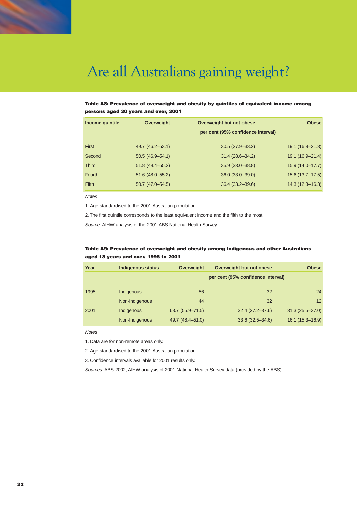

### **Table A8: Prevalence of overweight and obesity by quintiles of equivalent income among persons aged 20 years and over, 2001**

| Income quintile | <b>Overweight</b>   | Overweight but not obese           | <b>Obese</b>        |
|-----------------|---------------------|------------------------------------|---------------------|
|                 |                     | per cent (95% confidence interval) |                     |
| First           | 49.7 (46.2–53.1)    | $30.5(27.9 - 33.2)$                | $19.1(16.9 - 21.3)$ |
| Second          | $50.5(46.9 - 54.1)$ | $31.4(28.6 - 34.2)$                | $19.1(16.9 - 21.4)$ |
| <b>Third</b>    | $51.8(48.4 - 55.2)$ | $35.9(33.0 - 38.8)$                | $15.9(14.0-17.7)$   |
| Fourth          | 51.6 (48.0-55.2)    | 36.0 (33.0-39.0)                   | $15.6(13.7-17.5)$   |
| <b>Fifth</b>    | $50.7(47.0 - 54.5)$ | 36.4 (33.2-39.6)                   | $14.3(12.3 - 16.3)$ |

*Notes*

1. Age-standardised to the 2001 Australian population.

2. The first quintile corresponds to the least equivalent income and the fifth to the most.

*Source:* AIHW analysis of the 2001 ABS National Health Survey.

### **Table A9: Prevalence of overweight and obesity among Indigenous and other Australians aged 18 years and over, 1995 to 2001**

| Year | <b>Indigenous status</b> | <b>Overweight</b>   | Overweight but not obese           | <b>Obese</b>        |
|------|--------------------------|---------------------|------------------------------------|---------------------|
|      |                          |                     | per cent (95% confidence interval) |                     |
| 1995 | Indigenous               | 56                  | 32                                 | 24                  |
|      | Non-Indigenous           | 44                  | 32                                 | 12                  |
| 2001 | Indigenous               | $63.7(55.9 - 71.5)$ | $32.4(27.2 - 37.6)$                | $31.3(25.5 - 37.0)$ |
|      | Non-Indigenous           | 49.7 (48.4–51.0)    | $33.6(32.5 - 34.6)$                | $16.1(15.3 - 16.9)$ |

*Notes*

1. Data are for non-remote areas only.

2. Age-standardised to the 2001 Australian population.

3. Confidence intervals available for 2001 results only.

*Sources:* ABS 2002; AIHW analysis of 2001 National Health Survey data (provided by the ABS).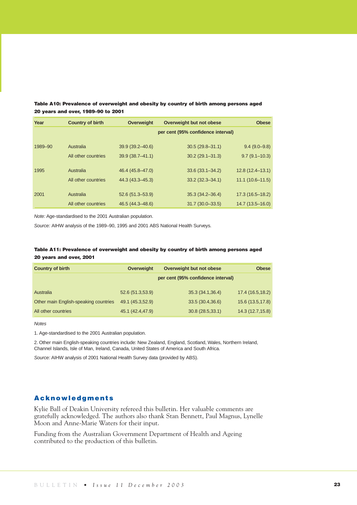| Year    | <b>Country of birth</b> | <b>Overweight</b>   | Overweight but not obese           | <b>Obese</b>      |
|---------|-------------------------|---------------------|------------------------------------|-------------------|
|         |                         |                     | per cent (95% confidence interval) |                   |
| 1989-90 | Australia               | 39.9 (39.2-40.6)    | $30.5(29.8 - 31.1)$                | $9.4(9.0 - 9.8)$  |
|         | All other countries     | $39.9(38.7 - 41.1)$ | $30.2(29.1 - 31.3)$                | $9.7(9.1 - 10.3)$ |
| 1995    | Australia               | 46.4 (45.8-47.0)    | $33.6(33.1 - 34.2)$                | $12.8(12.4-13.1)$ |
|         | All other countries     | 44.3 (43.3–45.3)    | $33.2 (32.3 - 34.1)$               | $11.1(10.6-11.5)$ |
| 2001    | Australia               | $52.6(51.3 - 53.9)$ | $35.3(34.2 - 36.4)$                | $17.3(16.5-18.2)$ |

All other countries 46.5 (44.3–48.6) 31.7 (30.0–33.5) 14.7 (13.5–16.0)

**Table A10: Prevalence of overweight and obesity by country of birth among persons aged 20 years and over, 1989–90 to 2001**

*Note:* Age-standardised to the 2001 Australian population.

*Source:* AIHW analysis of the 1989–90, 1995 and 2001 ABS National Health Surveys.

### **Table A11: Prevalence of overweight and obesity by country of birth among persons aged 20 years and over, 2001**

| <b>Country of birth</b>               | Overweight       | Overweight but not obese           | <b>Obese</b>      |
|---------------------------------------|------------------|------------------------------------|-------------------|
|                                       |                  | per cent (95% confidence interval) |                   |
| Australia                             | 52.6 (51.3,53.9) | 35.3 (34.1,36.4)                   | 17.4 (16.5,18.2)  |
| Other main English-speaking countries | 49.1 (45.3,52.9) | 33.5 (30.4,36.6)                   | 15.6 (13.5,17.8)  |
| All other countries                   | 45.1 (42.4,47.9) | 30.8(28.5,33.1)                    | 14.3 (12.7, 15.8) |

*Notes*

1. Age-standardised to the 2001 Australian population.

2. Other main English-speaking countries include: New Zealand, England, Scotland, Wales, Northern Ireland, Channel Islands, Isle of Man, Ireland, Canada, United States of America and South Africa.

*Source:* AIHW analysis of 2001 National Health Survey data (provided by ABS).

### **Acknowledgments**

Kylie Ball of Deakin University refereed this bulletin. Her valuable comments are gratefully acknowledged. The authors also thank Stan Bennett, Paul Magnus, Lynelle Moon and Anne-Marie Waters for their input.

Funding from the Australian Government Department of Health and Ageing contributed to the production of this bulletin.